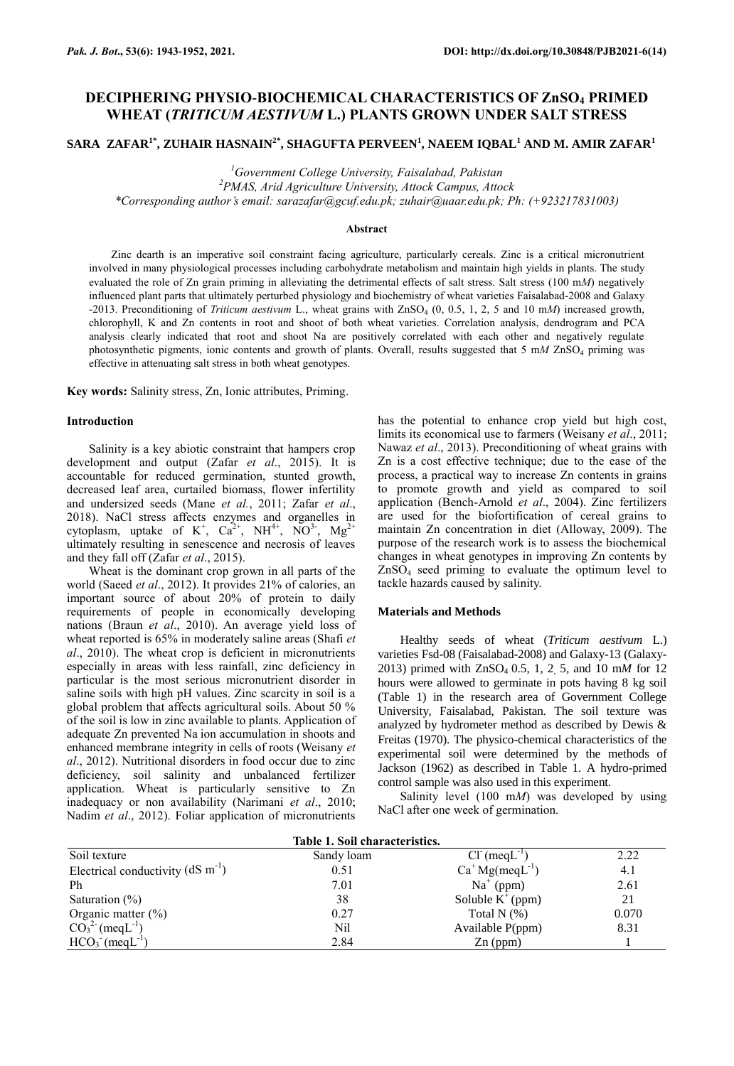## **DECIPHERING PHYSIO-BIOCHEMICAL CHARACTERISTICS OF ZnSO<sup>4</sup> PRIMED WHEAT (***TRITICUM AESTIVUM* **L.) PLANTS GROWN UNDER SALT STRESS**

**SARA ZAFAR1\*, ZUHAIR HASNAIN2\* , SHAGUFTA PERVEEN<sup>1</sup> , NAEEM IQBAL<sup>1</sup> AND M. AMIR ZAFAR<sup>1</sup>**

*<sup>1</sup>Government College University, Faisalabad, Pakistan*

*<sup>2</sup>PMAS, Arid Agriculture University, Attock Campus, Attock*

*\*Corresponding author's email: [sarazafar@gcuf.edu.pk;](mailto:sarazafar@gcuf.edu.pk) [zuhair@uaar.edu.pk;](mailto:zuhair@uaar.edu.pk) Ph: (+923217831003)*

### **Abstract**

Zinc dearth is an imperative soil constraint facing agriculture, particularly cereals. Zinc is a critical micronutrient involved in many physiological processes including carbohydrate metabolism and maintain high yields in plants. The study evaluated the role of Zn grain priming in alleviating the detrimental effects of salt stress. Salt stress (100 m*M*) negatively influenced plant parts that ultimately perturbed physiology and biochemistry of wheat varieties Faisalabad-2008 and Galaxy -2013. Preconditioning of *Triticum aestivum* L., wheat grains with ZnSO<sub>4</sub> (0, 0.5, 1, 2, 5 and 10 mM) increased growth, chlorophyll, K and Zn contents in root and shoot of both wheat varieties. Correlation analysis, dendrogram and PCA analysis clearly indicated that root and shoot Na are positively correlated with each other and negatively regulate photosynthetic pigments, ionic contents and growth of plants. Overall, results suggested that 5 m*M* ZnSO<sup>4</sup> priming was effective in attenuating salt stress in both wheat genotypes.

**Key words:** Salinity stress, Zn, Ionic attributes, Priming.

### **Introduction**

Salinity is a key abiotic constraint that hampers crop development and output (Zafar *et al*., 2015). It is accountable for reduced germination, stunted growth, decreased leaf area, curtailed biomass, flower infertility and undersized seeds (Mane *et al.*, 2011; Zafar *et al*., 2018). NaCl stress affects enzymes and organelles in cytoplasm, uptake of  $K^+$ ,  $Ca^{2+}$ , NH<sup>4+</sup>, NO<sup>3-</sup>, Mg<sup>2+</sup> ultimately resulting in senescence and necrosis of leaves and they fall off (Zafar *et al*., 2015).

Wheat is the dominant crop grown in all parts of the world (Saeed *et al*., 2012). It provides 21% of calories, an important source of about 20% of protein to daily requirements of people in economically developing nations (Braun *et al*., 2010). An average yield loss of wheat reported is 65% in moderately saline areas (Shafi *et al*., 2010). The wheat crop is deficient in micronutrients especially in areas with less rainfall, zinc deficiency in particular is the most serious micronutrient disorder in saline soils with high pH values. Zinc scarcity in soil is a global problem that affects agricultural soils. About 50 % of the soil is low in zinc available to plants. Application of adequate Zn prevented Na ion accumulation in shoots and enhanced membrane integrity in cells of roots (Weisany *et al*., 2012). Nutritional disorders in food occur due to zinc deficiency, soil salinity and unbalanced fertilizer application. Wheat is particularly sensitive to Zn inadequacy or non availability (Narimani *et al*., 2010; Nadim *et al*., 2012). Foliar application of micronutrients

has the potential to enhance crop yield but high cost, limits its economical use to farmers (Weisany *et al*., 2011; Nawaz *et al*., 2013). Preconditioning of wheat grains with Zn is a cost effective technique; due to the ease of the process, a practical way to increase Zn contents in grains to promote growth and yield as compared to soil application (Bench-Arnold *et al*., 2004). Zinc fertilizers are used for the biofortification of cereal grains to maintain Zn concentration in diet (Alloway, 2009). The purpose of the research work is to assess the biochemical changes in wheat genotypes in improving Zn contents by ZnSO<sup>4</sup> seed priming to evaluate the optimum level to tackle hazards caused by salinity.

### **Materials and Methods**

Healthy seeds of wheat (*Triticum aestivum* L.) varieties Fsd-08 (Faisalabad-2008) and Galaxy-13 (Galaxy-2013) primed with ZnSO4 0.5, 1, 2, 5*,* and 10 m*M* for 12 hours were allowed to germinate in pots having 8 kg soil (Table 1) in the research area of Government College University, Faisalabad, Pakistan. The soil texture was analyzed by hydrometer method as described by Dewis & Freitas (1970). The physico-chemical characteristics of the experimental soil were determined by the methods of Jackson (1962) as described in Table 1. A hydro-primed control sample was also used in this experiment.

Salinity level (100 m*M*) was developed by using NaCl after one week of germination.

| Table 1. Soil characteristics.           |            |                          |       |  |  |  |  |  |
|------------------------------------------|------------|--------------------------|-------|--|--|--|--|--|
| Soil texture                             | Sandy loam | $Cl^-(\text{meq}L^{-1})$ | 2.22  |  |  |  |  |  |
| Electrical conductivity $(dS \, m^{-1})$ | 0.51       | $Ca+ Mg(meqL-1)$         | 4.1   |  |  |  |  |  |
| Ph                                       | 7.01       | $Na+$ (ppm)              | 2.61  |  |  |  |  |  |
| Saturation $(\% )$                       | 38         | Soluble $K^+(ppm)$       | 21    |  |  |  |  |  |
| Organic matter $(\% )$                   | 0.27       | Total N $(\%)$           | 0.070 |  |  |  |  |  |
| $CO_3^2$ (meqL <sup>-1</sup> )           | Nil        | Available P(ppm)         | 8.31  |  |  |  |  |  |
| $HCO3$ (meqL <sup>-1</sup> )             | 2.84       | $Zn$ (ppm)               |       |  |  |  |  |  |

# **Table 1. Soil characteristics.**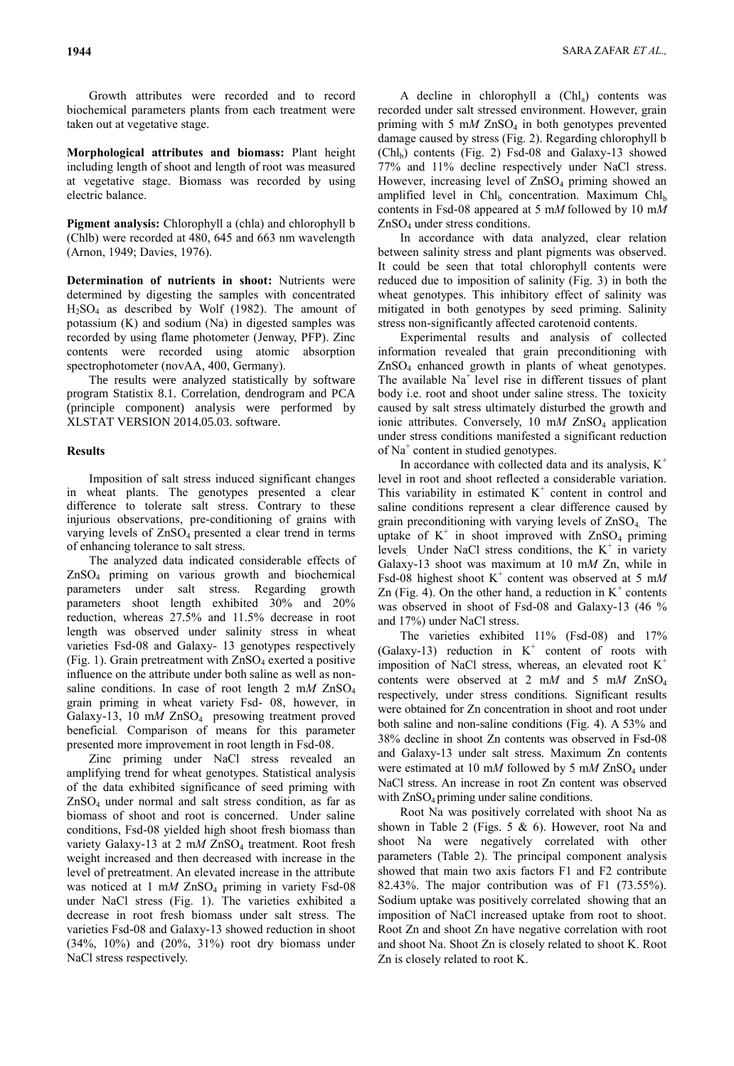Growth attributes were recorded and to record biochemical parameters plants from each treatment were taken out at vegetative stage.

**Morphological attributes and biomass:** Plant height including length of shoot and length of root was measured at vegetative stage. Biomass was recorded by using electric balance.

**Pigment analysis:** Chlorophyll a (chla) and chlorophyll b (Chlb) were recorded at 480, 645 and 663 nm wavelength (Arnon, 1949; Davies, 1976).

**Determination of nutrients in shoot:** Nutrients were determined by digesting the samples with concentrated  $H<sub>2</sub>SO<sub>4</sub>$  as described by Wolf (1982). The amount of potassium (K) and sodium (Na) in digested samples was recorded by using flame photometer (Jenway, PFP). Zinc contents were recorded using atomic absorption spectrophotometer (novAA, 400, Germany).

The results were analyzed statistically by software program Statistix 8.1. Correlation, dendrogram and PCA (principle component) analysis were performed by XLSTAT VERSION 2014.05.03. software.

## **Results**

Imposition of salt stress induced significant changes in wheat plants. The genotypes presented a clear difference to tolerate salt stress. Contrary to these injurious observations, pre-conditioning of grains with varying levels of ZnSO<sub>4</sub> presented a clear trend in terms of enhancing tolerance to salt stress.

The analyzed data indicated considerable effects of ZnSO<sup>4</sup> priming on various growth and biochemical parameters under salt stress. Regarding growth parameters shoot length exhibited 30% and 20% reduction, whereas 27.5% and 11.5% decrease in root length was observed under salinity stress in wheat varieties Fsd-08 and Galaxy- 13 genotypes respectively (Fig. 1). Grain pretreatment with  $ZnSO<sub>4</sub>$  exerted a positive influence on the attribute under both saline as well as nonsaline conditions. In case of root length 2 m*M* ZnSO<sup>4</sup> grain priming in wheat variety Fsd- 08, however, in Galaxy-13, 10 mM ZnSO<sub>4</sub> presowing treatment proved beneficial*.* Comparison of means for this parameter presented more improvement in root length in Fsd-08.

Zinc priming under NaCl stress revealed an amplifying trend for wheat genotypes. Statistical analysis of the data exhibited significance of seed priming with  $ZnSO<sub>4</sub>$  under normal and salt stress condition, as far as biomass of shoot and root is concerned. Under saline conditions, Fsd-08 yielded high shoot fresh biomass than variety Galaxy-13 at 2 mM ZnSO<sub>4</sub> treatment. Root fresh weight increased and then decreased with increase in the level of pretreatment. An elevated increase in the attribute was noticed at  $1 \text{ mM ZnSO}_4$  priming in variety Fsd-08 under NaCl stress (Fig. 1). The varieties exhibited a decrease in root fresh biomass under salt stress. The varieties Fsd-08 and Galaxy-13 showed reduction in shoot (34%, 10%) and (20%, 31%) root dry biomass under NaCl stress respectively.

A decline in chlorophyll a  $(Chl<sub>a</sub>)$  contents was recorded under salt stressed environment. However, grain priming with  $5 \text{ mM ZnSO}_4$  in both genotypes prevented damage caused by stress (Fig. 2). Regarding chlorophyll b  $(Chl<sub>b</sub>)$  contents (Fig. 2) Fsd-08 and Galaxy-13 showed 77% and 11% decline respectively under NaCl stress. However, increasing level of ZnSO<sub>4</sub> priming showed an amplified level in Chl<sub>b</sub> concentration. Maximum Chl<sub>b</sub> contents in Fsd-08 appeared at 5 m*M* followed by 10 m*M* ZnSO<sup>4</sup> under stress conditions.

In accordance with data analyzed, clear relation between salinity stress and plant pigments was observed. It could be seen that total chlorophyll contents were reduced due to imposition of salinity (Fig. 3) in both the wheat genotypes. This inhibitory effect of salinity was mitigated in both genotypes by seed priming. Salinity stress non-significantly affected carotenoid contents.

Experimental results and analysis of collected information revealed that grain preconditioning with ZnSO<sup>4</sup> enhanced growth in plants of wheat genotypes. The available  $Na<sup>+</sup>$  level rise in different tissues of plant body i.e. root and shoot under saline stress. The toxicity caused by salt stress ultimately disturbed the growth and ionic attributes. Conversely, 10 mM ZnSO<sub>4</sub> application under stress conditions manifested a significant reduction of Na<sup>+</sup> content in studied genotypes.

In accordance with collected data and its analysis,  $K^+$ level in root and shoot reflected a considerable variation. This variability in estimated  $K^+$  content in control and saline conditions represent a clear difference caused by grain preconditioning with varying levels of  $ZnSO<sub>4</sub>$ . The uptake of  $K^+$  in shoot improved with  $ZnSO_4$  priming levels. Under NaCl stress conditions, the  $K^+$  in variety Galaxy-13 shoot was maximum at 10 m*M* Zn, while in Fsd-08 highest shoot  $K^+$  content was observed at 5 mM Zn (Fig. 4). On the other hand, a reduction in  $K^+$  contents was observed in shoot of Fsd-08 and Galaxy-13 (46 % and 17%) under NaCl stress.

The varieties exhibited 11% (Fsd-08) and 17% (Galaxy-13) reduction in  $K^+$  content of roots with imposition of NaCl stress, whereas, an elevated root  $K^+$ contents were observed at 2 m*M* and 5 m*M* ZnSO<sup>4</sup> respectively, under stress conditions. Significant results were obtained for Zn concentration in shoot and root under both saline and non-saline conditions (Fig. 4). A 53% and 38% decline in shoot Zn contents was observed in Fsd-08 and Galaxy-13 under salt stress. Maximum Zn contents were estimated at 10 mM followed by 5 mM ZnSO<sub>4</sub> under NaCl stress. An increase in root Zn content was observed with ZnSO<sub>4</sub> priming under saline conditions.

Root Na was positively correlated with shoot Na as shown in Table 2 (Figs. 5  $& 6$ ). However, root Na and shoot Na were negatively correlated with other parameters (Table 2). The principal component analysis showed that main two axis factors F1 and F2 contribute 82.43%. The major contribution was of F1 (73.55%). Sodium uptake was positively correlated showing that an imposition of NaCl increased uptake from root to shoot. Root Zn and shoot Zn have negative correlation with root and shoot Na. Shoot Zn is closely related to shoot K. Root Zn is closely related to root K.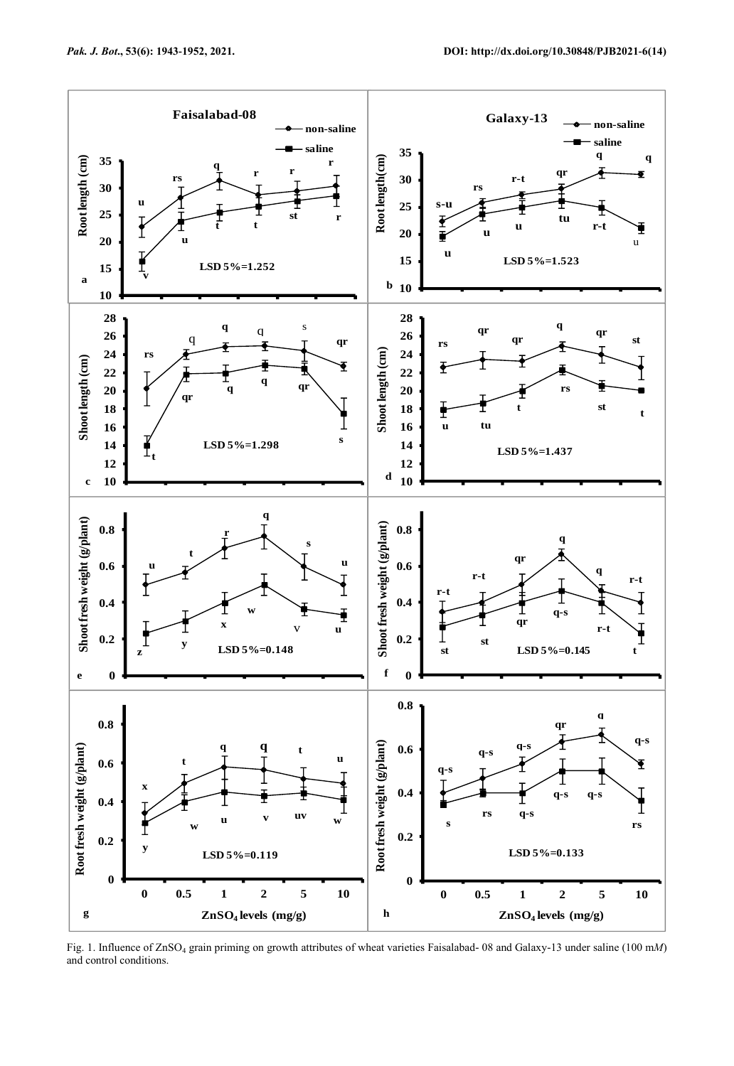

Fig. 1. Influence of ZnSO<sup>4</sup> grain priming on growth attributes of wheat varieties Faisalabad- 08 and Galaxy-13 under saline (100 m*M*) and control conditions.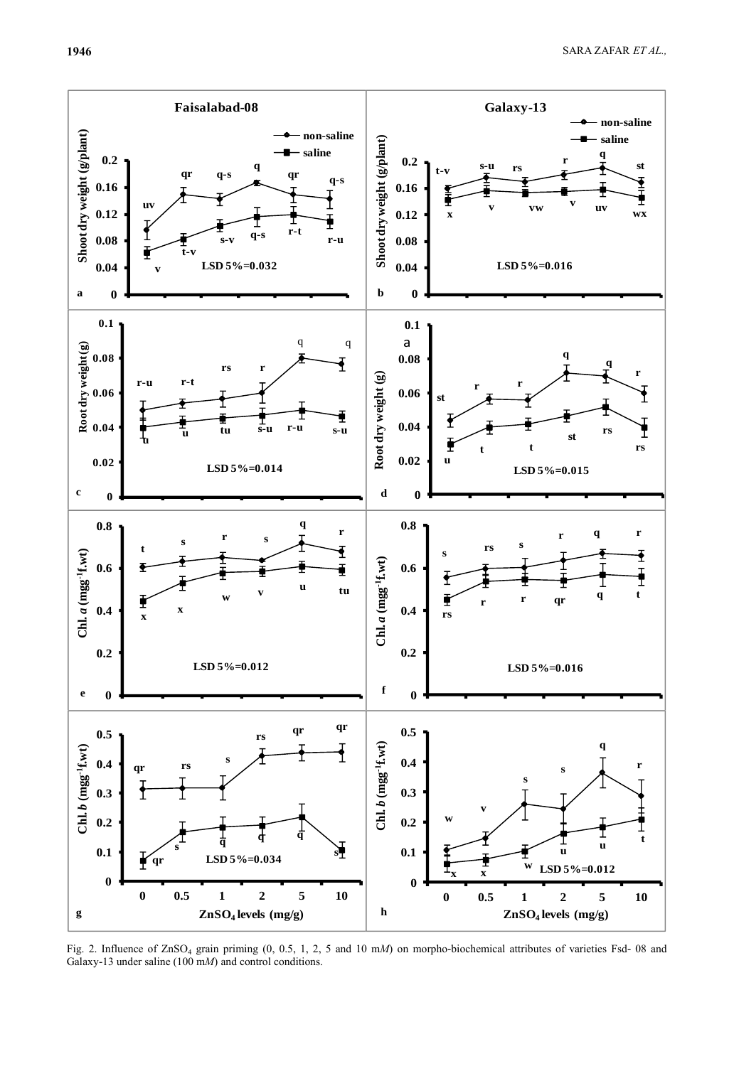

Fig. 2. Influence of ZnSO<sup>4</sup> grain priming (0, 0.5, 1, 2, 5 and 10 m*M*) on morpho-biochemical attributes of varieties Fsd- 08 and Galaxy-13 under saline (100 m*M*) and control conditions.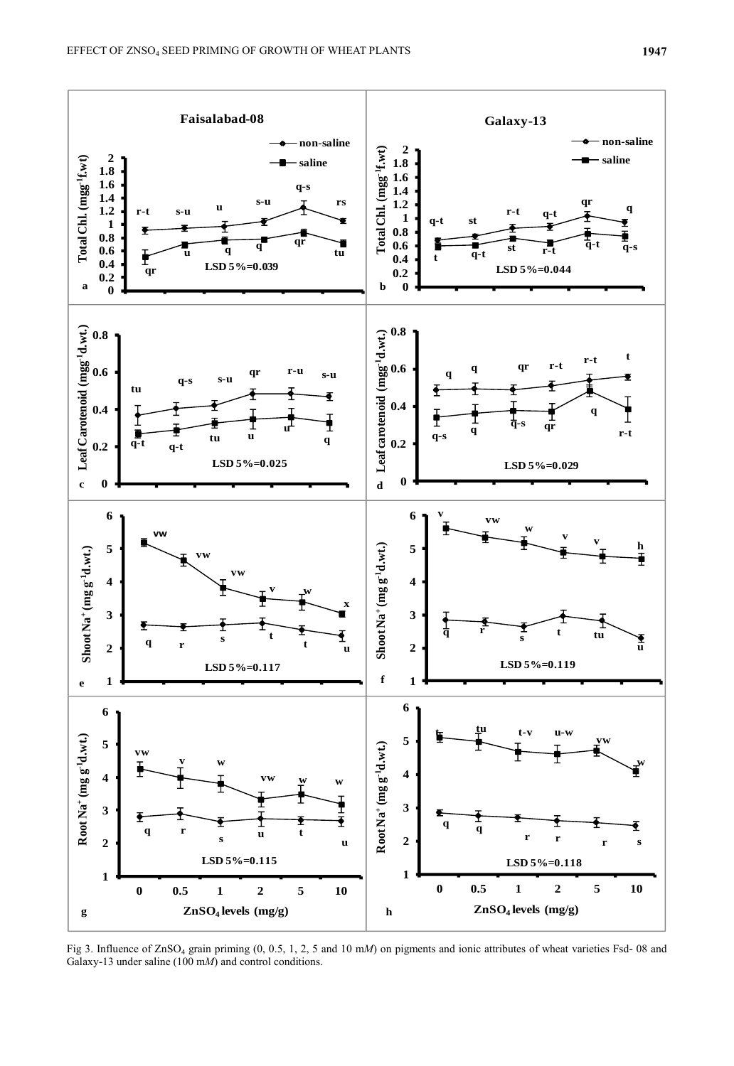

Fig 3. Influence of ZnSO<sub>4</sub> grain priming (0, 0.5, 1, 2, 5 and 10 mM) on pigments and ionic attributes of wheat varieties Fsd- 08 and Galaxy-13 under saline (100 m*M*) and control conditions.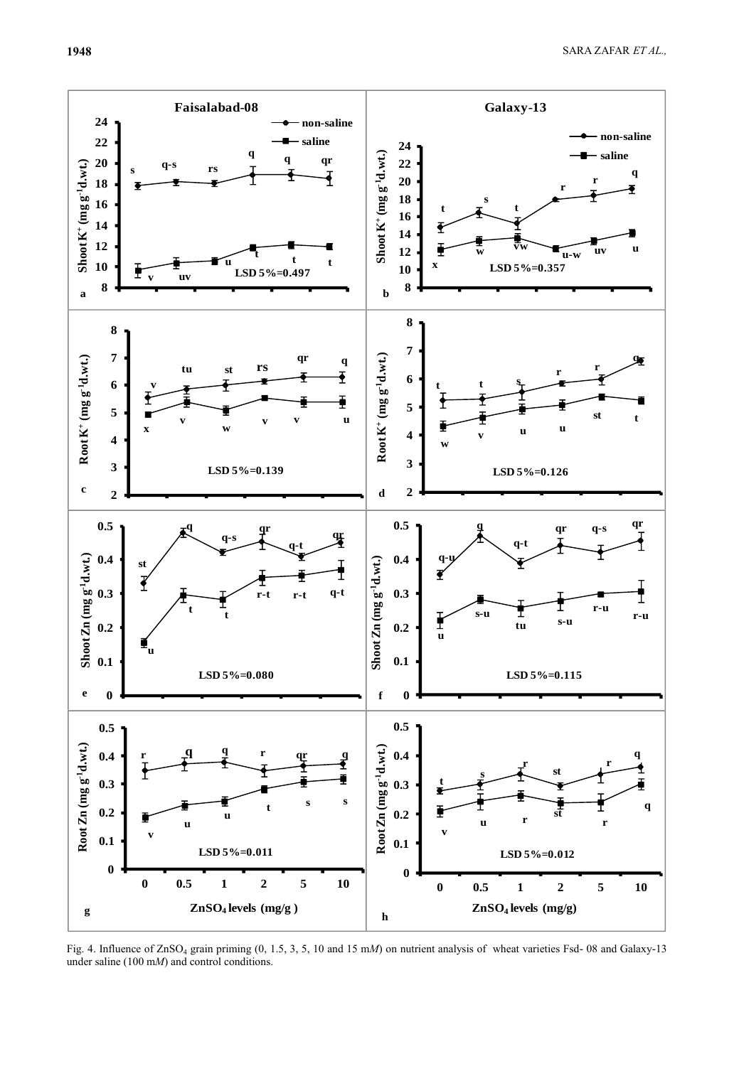**1948** SARA ZAFAR *ET AL.,*



Fig. 4. Influence of ZnSO<sub>4</sub> grain priming (0, 1.5, 3, 5, 10 and 15 mM) on nutrient analysis of wheat varieties Fsd- 08 and Galaxy-13 under saline (100 m*M*) and control conditions.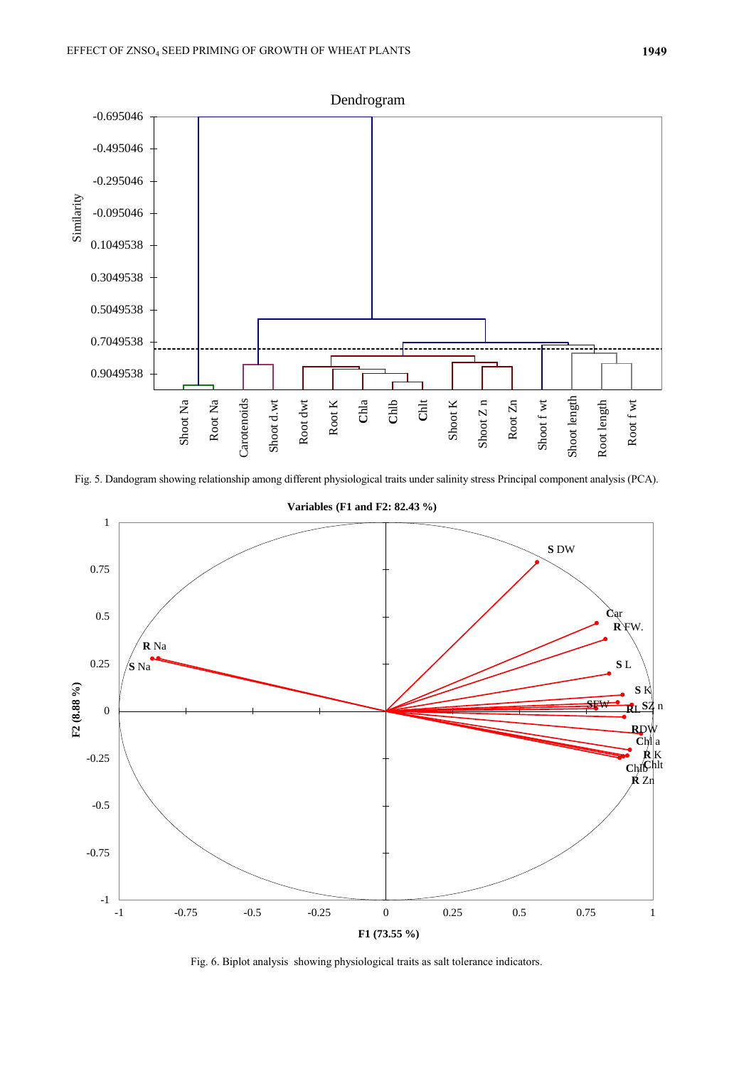

Fig. 5. Dandogram showing relationship among different physiological traits under salinity stress Principal component analysis (PCA).



**Variables (F1 and F2: 82.43 %)**

Fig. 6. Biplot analysis showing physiological traits as salt tolerance indicators.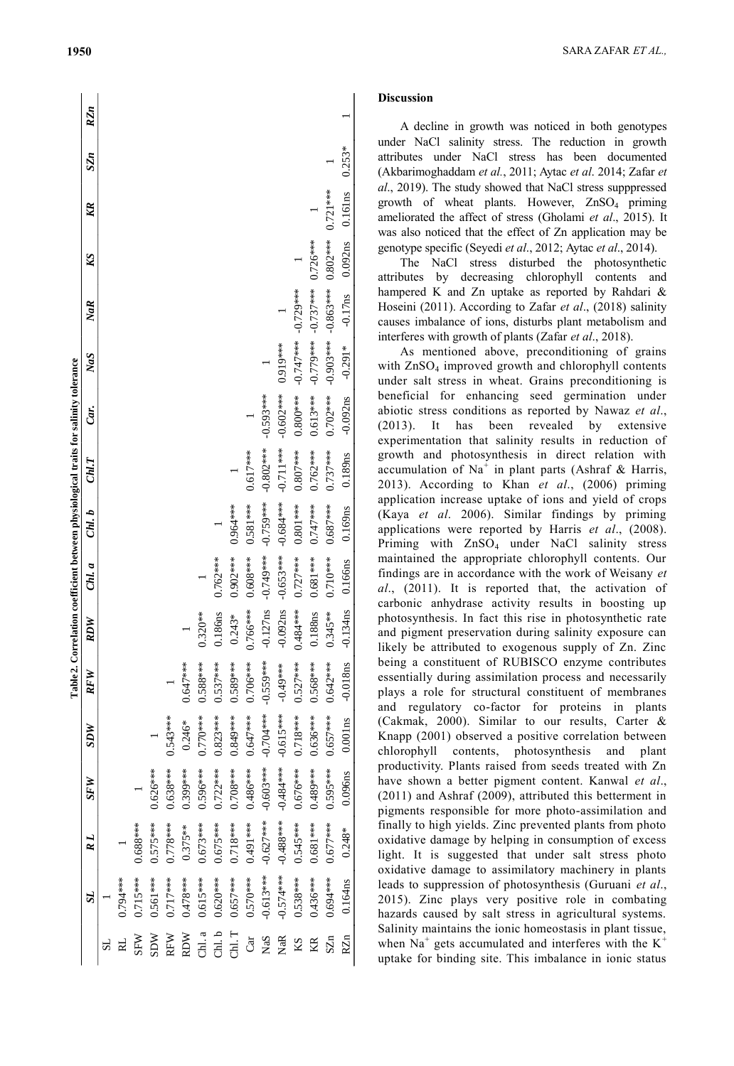|                                                                                      | RZ <sub>n</sub> |          |            |            |            |            |            |            |            |            |             |             |             |             |                       |                                                                                                                                                                 |  |
|--------------------------------------------------------------------------------------|-----------------|----------|------------|------------|------------|------------|------------|------------|------------|------------|-------------|-------------|-------------|-------------|-----------------------|-----------------------------------------------------------------------------------------------------------------------------------------------------------------|--|
| Table 2. Correlation coefficient between physiological traits for salinity tolerance | SZn             |          |            |            |            |            |            |            |            |            |             |             |             |             |                       | $0.253*$                                                                                                                                                        |  |
|                                                                                      | KR              |          |            |            |            |            |            |            |            |            |             |             |             |             |                       | 0.161ns                                                                                                                                                         |  |
|                                                                                      | KS              |          |            |            |            |            |            |            |            |            |             |             |             | $0.726***$  | $0.802***$ $0.721***$ | 0.092ns<br>$-0.17$ ns<br>$-0.291*$<br>$-0.092ns$<br>0.189ns<br>0.169ns<br>0.166ns<br>$-0.134$ ns<br>$-0.018$ ns<br>$0.001$ ns<br>0.096ns<br>$0.248*$<br>0.164ns |  |
|                                                                                      | NaR             |          |            |            |            |            |            |            |            |            |             |             | $-0.729***$ | $-0.737***$ | $-0.863***$           |                                                                                                                                                                 |  |
|                                                                                      | NaS             |          |            |            |            |            |            |            |            |            |             | 0.919***    | $-0.747***$ | $-0.779***$ | $-0.903***$           |                                                                                                                                                                 |  |
|                                                                                      | Car.            |          |            |            |            |            |            |            |            |            | $-0.593***$ | $-0.602***$ | $0.800***$  | $0.613***$  | $0.702***$            |                                                                                                                                                                 |  |
|                                                                                      | Cml.T           |          |            |            |            |            |            |            |            | 0.617***   | $-0.802***$ | $-0.711***$ | $0.807***$  | $0.762***$  | $0.737***$            |                                                                                                                                                                 |  |
|                                                                                      | Chl. b          |          |            |            |            |            |            |            | 0.964 ***  | $0.581***$ | $-0.759***$ | $-0.684***$ | $0.801***$  | $0.747***$  | $0.687***$            |                                                                                                                                                                 |  |
|                                                                                      | Chl. a          |          |            |            |            |            |            | $0.762***$ | $0.902***$ | $0.608***$ | -0.749***   | $-0.653***$ | $0.727***$  | $0.681***$  | $0.710***$            |                                                                                                                                                                 |  |
|                                                                                      | <b>RDW</b>      |          |            |            |            |            | $0.320***$ | 0.186ns    | $0.243*$   | 0.766***   | $-0.127ns$  | $-0.092ns$  | $0.484***$  | 0.188ns     | $0.345***$            |                                                                                                                                                                 |  |
|                                                                                      | RFW             |          |            |            |            | $0.647***$ | $3.588***$ | $0.537***$ | $0.589***$ | $0.706***$ | $-0.559***$ | $-0.49***$  | $0.527***$  | $0.568***$  | $0.642***$            |                                                                                                                                                                 |  |
|                                                                                      | 3DW             |          |            |            | $0.543***$ | $0.246*$   | $0.770***$ | $0.823***$ | $0.849***$ | $0.647***$ | $-0.704***$ | $-0.615***$ | $0.718***$  | $0.636***$  | $0.657***$            |                                                                                                                                                                 |  |
|                                                                                      | SFW             |          |            | $0.626***$ | $0.638***$ | 1.399***   | $0.596***$ | $0.722***$ | $0.708***$ | 0.486***   | $-0.603***$ | $-0.484***$ | $0.676***$  | $0.489***$  | $0.595***$            |                                                                                                                                                                 |  |
|                                                                                      | RL              |          | $0.688***$ | $0.575***$ | $0.778***$ | $0.375**$  | $0.673***$ | $0.675***$ | $0.718***$ | 0.491***   | $-0.627***$ | $-0.488***$ | 0.545****   | $0.681***$  | $0.677***$            |                                                                                                                                                                 |  |
|                                                                                      | $\rm{^{12}}$    | .794**** | $0.715***$ | 1.561 ***  | $0.717***$ | $0.478***$ | $0.615***$ | $0.620***$ | $0.657***$ | $0.570***$ | $-0.613***$ | $-0.574***$ | $0.538***$  | 1436***     | 0.694***              |                                                                                                                                                                 |  |
|                                                                                      |                 |          | SFW        | <b>WCS</b> | <b>RFW</b> | <b>RDW</b> | Chl. a     | Chl. b     | CH. T      | Car        | NaS         | NaR         | KS          | KR          | $S\mathbb{Z}$ n       | RZn                                                                                                                                                             |  |

### **Discussion**

A decline in growth was noticed in both genotypes under NaCl salinity stress. The reduction in growth attributes under NaCl stress has been documented (Akbarimoghaddam *et al.*, 2011; Aytac *et al*. 2014; Zafar *et al* . , 2019). The study showed that NaCl stress supppressed growth of wheat plants. However, ZnSO4 priming ameliorated the affect of stress (Gholami *et al*., 2015). It was also noticed that the effect of Zn application may be genotype specific (Seyedi *et al*., 2012; Aytac *et al*., 2014).

The NaCl stress disturbed the photosynthetic attributes by decreasing chlorophyll contents and hampered K and Zn uptake as reported by Rahdari & Hoseini (2011). According to Zafar et al., (2018) salinity causes imbalance of ions, disturbs plant metabolism and interferes with growth of plants (Zafar *et al*., 2018).

As mentioned above, preconditioning of grains with ZnSO <sup>4</sup> improved growth and chlorophyll contents under salt stress in wheat. Grains preconditioning is beneficial for enhancing seed germination under abiotic stress conditions as reported by Nawaz *et al* . , (2013). It has been revealed by extensive experimentation that salinity results in reduction of growth and photosynthesis in direct relation with accumulation of Na<sup>+</sup> in plant parts (Ashraf & Harris, 2013). According to Khan *et al* . , (2006) priming application increase uptake of ions and yield of crops (Kaya *et al* . 2006). Similar findings by priming applications were reported by Harris *et al*., (2008). Priming with ZnSO <sup>4</sup> under NaCl salinity stress maintained the appropriate chlorophyll contents. Our findings are in accordance with the work of Weisany *et al* . , (2011). It is reported that, the activation of carbonic anhydrase activity results in boosting up photosynthesis. In fact this rise in photosynthetic rate and pigment preservation during salinity exposure can likely be attributed to exogenous supply of Zn. Zinc being a constituent of RUBISCO enzyme contributes essentially during assimilation process and necessarily plays a role for structural constituent of membranes and regulatory co -factor for proteins in plants (Cakmak, 2000). Similar to our results, Carter & Knapp (2001) observed a positive correlation between chlorophyll contents, photosynthesis and plant productivity. Plants raised from seeds treated with Zn have shown a better pigment content. Kanwal *et al* . , (2011) and Ashraf (2009), attributed this betterment in pigments responsible for more photo -assimilation and finally to high yields. Zinc prevented plants from photo oxidative damage by helping in consumption of excess light. It is suggested that under salt stress photo oxidative damage to assimilatory machinery in plants leads to suppression of photosynthesis (Guruani *et al*., 2015). Zinc plays very positive role in combating hazards caused by salt stress in agricultural systems. Salinity maintains the ionic homeostasis in plant tissue, when Na<sup>+</sup> gets accumulated and interferes with the  $K^+$ uptake for binding site. This imbalance in ionic status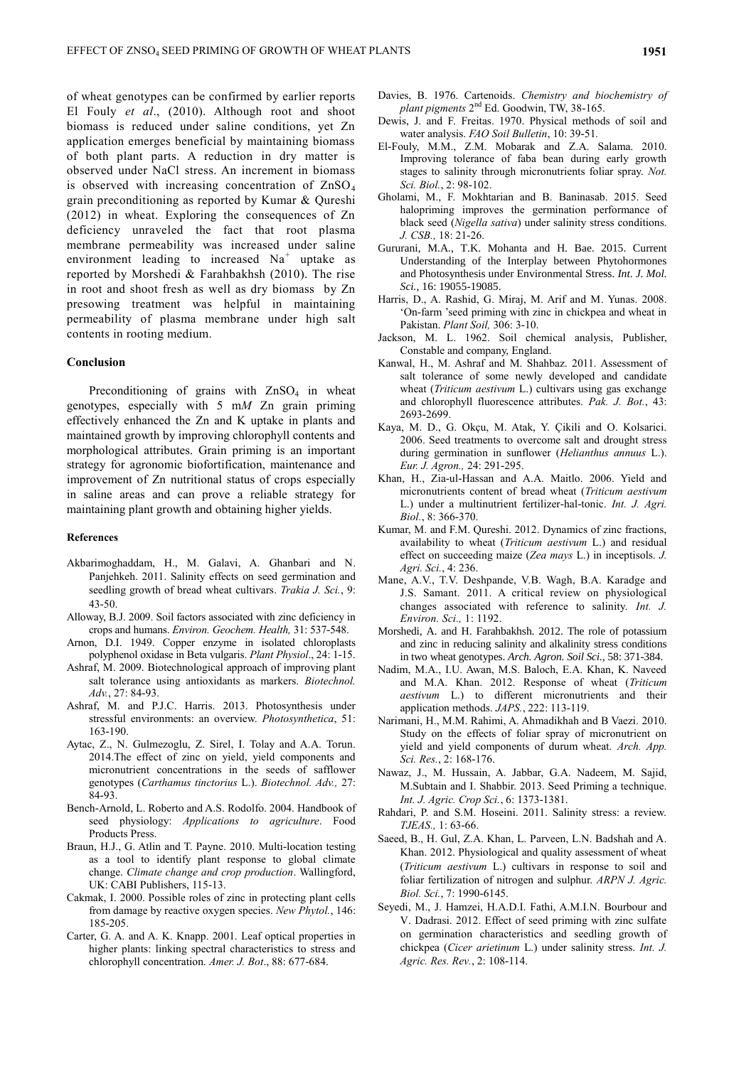of wheat genotypes can be confirmed by earlier reports El Fouly *et al*., (2010). Although root and shoot biomass is reduced under saline conditions, yet Zn application emerges beneficial by maintaining biomass of both plant parts. A reduction in dry matter is observed under NaCl stress. An increment in biomass is observed with increasing concentration of  $ZnSO<sub>4</sub>$ grain preconditioning as reported by Kumar & Qureshi (2012) in wheat. Exploring the consequences of Zn deficiency unraveled the fact that root plasma membrane permeability was increased under saline environment leading to increased  $Na<sup>+</sup>$  uptake as reported by Morshedi & Farahbakhsh (2010). The rise in root and shoot fresh as well as dry biomass by Zn presowing treatment was helpful in maintaining permeability of plasma membrane under high salt contents in rooting medium.

## **Conclusion**

Preconditioning of grains with ZnSO<sub>4</sub> in wheat genotypes, especially with 5 m*M* Zn grain priming effectively enhanced the Zn and K uptake in plants and maintained growth by improving chlorophyll contents and morphological attributes. Grain priming is an important strategy for agronomic biofortification, maintenance and improvement of Zn nutritional status of crops especially in saline areas and can prove a reliable strategy for maintaining plant growth and obtaining higher yields.

### **References**

- Akbarimoghaddam, H., M. Galavi, A. Ghanbari and N. Panjehkeh. 2011. Salinity effects on seed germination and seedling growth of bread wheat cultivars. *Trakia J. Sci.*, 9: 43-50.
- Alloway, B.J. 2009. Soil factors associated with zinc deficiency in crops and humans. *Environ. Geochem. Health,* 31: 537-548.
- Arnon, D.I. 1949. Copper enzyme in isolated chloroplasts polyphenol oxidase in Beta vulgaris. *Plant Physiol*., 24: 1-15.
- Ashraf, M. 2009. Biotechnological approach of improving plant salt tolerance using antioxidants as markers. *Biotechnol. Adv.*, 27: 84-93.
- Ashraf, M. and P.J.C. Harris. 2013. Photosynthesis under stressful environments: an overview. *Photosynthetica*, 51: 163-190.
- Aytac, Z., N. Gulmezoglu, Z. Sirel, I. Tolay and A.A. Torun. 2014.The effect of zinc on yield, yield components and micronutrient concentrations in the seeds of safflower genotypes (*Carthamus tinctorius* L.). *Biotechnol. Adv.,* 27: 84-93.
- Bench-Arnold, L. Roberto and A.S. Rodolfo. 2004. Handbook of seed physiology: *Applications to agriculture*. Food Products Press.
- Braun, H.J., G. Atlin and T. Payne. 2010. Multi-location testing as a tool to identify plant response to global climate change. *Climate change and crop production*. Wallingford, UK: CABI Publishers, 115-13.
- Cakmak, I. 2000. Possible roles of zinc in protecting plant cells from damage by reactive oxygen species. *New Phytol.*, 146: 185-205.
- Carter, G. A. and A. K. Knapp. 2001. Leaf optical properties in higher plants: linking spectral characteristics to stress and chlorophyll concentration. *Amer. J. Bot*., 88: 677-684.
- Davies, B. 1976. Cartenoids. *Chemistry and biochemistry of plant pigments* 2 nd Ed. Goodwin, TW, 38-165.
- Dewis, J. and F. Freitas. 1970. Physical methods of soil and water analysis. *FAO Soil Bulletin*, 10: 39-51*.*
- El-Fouly, M.M., Z.M. Mobarak and Z.A. Salama. 2010. Improving tolerance of faba bean during early growth stages to salinity through micronutrients foliar spray. *Not. Sci. Biol.*, 2: 98-102.
- Gholami, M., F. Mokhtarian and B. Baninasab. 2015. Seed halopriming improves the germination performance of black seed (*Nigella sativa*) under salinity stress conditions. *J. CSB.,* 18: 21-26.
- Gururani, M.A., T.K. Mohanta and H. Bae. 2015. Current Understanding of the Interplay between Phytohormones and Photosynthesis under Environmental Stress. *Int. J. Mol. Sci.*, 16: 19055-19085.
- Harris, D., A. Rashid, G. Miraj, M. Arif and M. Yunas. 2008. 'On-farm 'seed priming with zinc in chickpea and wheat in Pakistan. *Plant Soil,* 306: 3-10.
- Jackson, M. L. 1962. Soil chemical analysis, Publisher, Constable and company, England.
- Kanwal, H., M. Ashraf and M. Shahbaz. 2011. Assessment of salt tolerance of some newly developed and candidate wheat (*Triticum aestivum* L.) cultivars using gas exchange and chlorophyll fluorescence attributes. *Pak. J. Bot.*, 43: 2693-2699.
- Kaya, M. D., G. Okçu, M. Atak, Y. Çikili and O. Kolsarici. 2006. Seed treatments to overcome salt and drought stress during germination in sunflower (*Helianthus annuus* L.). *Eur. J. Agron.,* 24: 291-295.
- Khan, H., Zia-ul-Hassan and A.A. Maitlo. 2006. Yield and micronutrients content of bread wheat (*Triticum aestivum* L.) under a multinutrient fertilizer-hal-tonic. *Int. J. Agri. Biol.*, 8: 366-370.
- Kumar, M. and F.M. Qureshi. 2012. Dynamics of zinc fractions, availability to wheat (*Triticum aestivum* L.) and residual effect on succeeding maize (*Zea mays* L.) in inceptisols. *J. Agri. Sci.*, 4: 236.
- Mane, A.V., T.V. Deshpande, V.B. Wagh, B.A. Karadge and J.S. Samant. 2011. A critical review on physiological changes associated with reference to salinity. *Int. J. Environ. Sci.,* 1: 1192.
- Morshedi, A. and H. Farahbakhsh. 2012. The role of potassium and zinc in reducing salinity and alkalinity stress conditions in two wheat genotypes. *Arch. Agron. Soil Sci.*, 58: 371-384.
- Nadim, M.A., I.U. Awan, M.S. Baloch, E.A. Khan, K. Naveed and M.A. Khan. 2012. Response of wheat (*Triticum aestivum* L.) to different micronutrients and their application methods. *JAPS.*, 222: 113-119.
- Narimani, H., M.M. Rahimi, A. Ahmadikhah and B Vaezi. 2010. Study on the effects of foliar spray of micronutrient on yield and yield components of durum wheat. *Arch. App. Sci. Res.*, 2: 168-176.
- Nawaz, J., M. Hussain, A. Jabbar, G.A. Nadeem, M. Sajid, M.Subtain and I. Shabbir. 2013. Seed Priming a technique. *Int. J. Agric. Crop Sci.*, 6: 1373-1381.
- Rahdari, P. and S.M. Hoseini. 2011. Salinity stress: a review. *TJEAS.,* 1: 63-66.
- Saeed, B., H. Gul, Z.A. Khan, L. Parveen, L.N. Badshah and A. Khan. 2012. Physiological and quality assessment of wheat (*Triticum aestivum* L.) cultivars in response to soil and foliar fertilization of nitrogen and sulphur. *ARPN J. Agric. Biol. Sci.*, 7: 1990-6145.
- Seyedi, M., J. Hamzei, H.A.D.I. Fathi, A.M.I.N. Bourbour and V. Dadrasi. 2012. Effect of seed priming with zinc sulfate on germination characteristics and seedling growth of chickpea (*Cicer arietinum* L.) under salinity stress. *Int. J. Agric. Res. Rev.*, 2: 108-114.